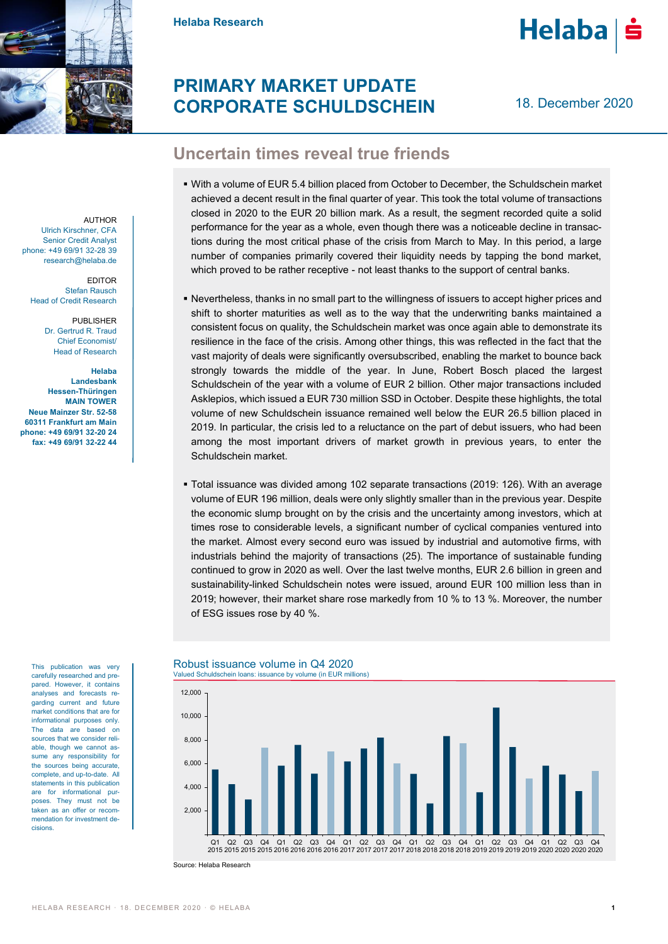

AUTHOR

EDITOR Stefan Rausch Head of Credit Research

> PUBLISHER Dr. Gertrud R. Traud Chief Economist/ Head of Research

**Helaba Landesbank Hessen-Thüringen MAIN TOWER Neue Mainzer Str. 52-58 60311 Frankfurt am Main phone: +49 69/91 32-20 24 fax: +49 69/91 32-22 44**

Ulrich Kirschner, CFA Senior Credit Analyst phone: +49 69/91 32-28 39 research@helaba.de **Helaba Research**

# **Helaba**

# **PRIMARY MARKET UPDATE CORPORATE SCHULDSCHEIN**

18. December 2020

## **Uncertain times reveal true friends**

- With a volume of EUR 5.4 billion placed from October to December, the Schuldschein market achieved a decent result in the final quarter of year. This took the total volume of transactions closed in 2020 to the EUR 20 billion mark. As a result, the segment recorded quite a solid performance for the year as a whole, even though there was a noticeable decline in transactions during the most critical phase of the crisis from March to May. In this period, a large number of companies primarily covered their liquidity needs by tapping the bond market, which proved to be rather receptive - not least thanks to the support of central banks.
- Nevertheless, thanks in no small part to the willingness of issuers to accept higher prices and shift to shorter maturities as well as to the way that the underwriting banks maintained a consistent focus on quality, the Schuldschein market was once again able to demonstrate its resilience in the face of the crisis. Among other things, this was reflected in the fact that the vast majority of deals were significantly oversubscribed, enabling the market to bounce back strongly towards the middle of the year. In June, Robert Bosch placed the largest Schuldschein of the year with a volume of EUR 2 billion. Other major transactions included Asklepios, which issued a EUR 730 million SSD in October. Despite these highlights, the total volume of new Schuldschein issuance remained well below the EUR 26.5 billion placed in 2019. In particular, the crisis led to a reluctance on the part of debut issuers, who had been among the most important drivers of market growth in previous years, to enter the Schuldschein market.
- Total issuance was divided among 102 separate transactions (2019: 126). With an average volume of EUR 196 million, deals were only slightly smaller than in the previous year. Despite the economic slump brought on by the crisis and the uncertainty among investors, which at times rose to considerable levels, a significant number of cyclical companies ventured into the market. Almost every second euro was issued by industrial and automotive firms, with industrials behind the majority of transactions (25). The importance of sustainable funding continued to grow in 2020 as well. Over the last twelve months, EUR 2.6 billion in green and sustainability-linked Schuldschein notes were issued, around EUR 100 million less than in 2019; however, their market share rose markedly from 10 % to 13 %. Moreover, the number of ESG issues rose by 40 %.

This publication was very carefully researched and prepared. However, it contains analyses and forecasts regarding current and future market conditions that are for informational purposes only. The data are based on sources that we consider reliable, though we cannot assume any responsibility for the sources being accurate, complete, and up-to-date. All statements in this publication are for informational purposes. They must not be taken as an offer or recommendation for investment decisions.

### Robust issuance volume in Q4 2020

Valued Schuldschein loans: issuance by volume (in EUR millions)



Source: Helaba Research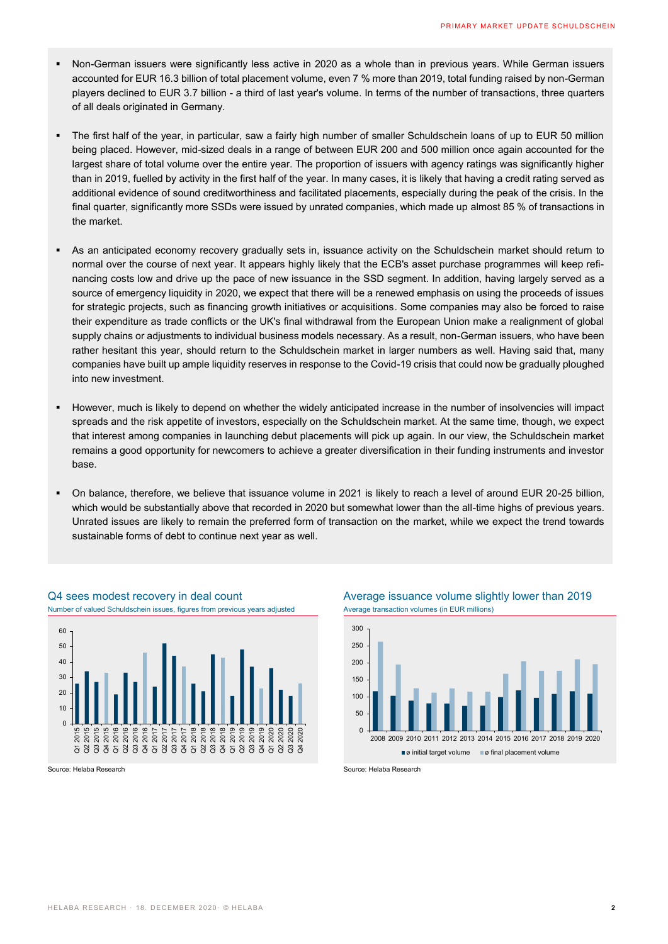- Non-German issuers were significantly less active in 2020 as a whole than in previous years. While German issuers accounted for EUR 16.3 billion of total placement volume, even 7 % more than 2019, total funding raised by non-German players declined to EUR 3.7 billion - a third of last year's volume. In terms of the number of transactions, three quarters of all deals originated in Germany.
- The first half of the year, in particular, saw a fairly high number of smaller Schuldschein loans of up to EUR 50 million being placed. However, mid-sized deals in a range of between EUR 200 and 500 million once again accounted for the largest share of total volume over the entire year. The proportion of issuers with agency ratings was significantly higher than in 2019, fuelled by activity in the first half of the year. In many cases, it is likely that having a credit rating served as additional evidence of sound creditworthiness and facilitated placements, especially during the peak of the crisis. In the final quarter, significantly more SSDs were issued by unrated companies, which made up almost 85 % of transactions in the market.
- As an anticipated economy recovery gradually sets in, issuance activity on the Schuldschein market should return to normal over the course of next year. It appears highly likely that the ECB's asset purchase programmes will keep refinancing costs low and drive up the pace of new issuance in the SSD segment. In addition, having largely served as a source of emergency liquidity in 2020, we expect that there will be a renewed emphasis on using the proceeds of issues for strategic projects, such as financing growth initiatives or acquisitions. Some companies may also be forced to raise their expenditure as trade conflicts or the UK's final withdrawal from the European Union make a realignment of global supply chains or adjustments to individual business models necessary. As a result, non-German issuers, who have been rather hesitant this year, should return to the Schuldschein market in larger numbers as well. Having said that, many companies have built up ample liquidity reserves in response to the Covid-19 crisis that could now be gradually ploughed into new investment.
- "However, much is likely to depend on whether the widely anticipated increase in the number of insolvencies will impact spreads and the risk appetite of investors, especially on the Schuldschein market. At the same time, though, we expect that interest among companies in launching debut placements will pick up again. In our view, the Schuldschein market remains a good opportunity for newcomers to achieve a greater diversification in their funding instruments and investor base.
- On balance, therefore, we believe that issuance volume in 2021 is likely to reach a level of around EUR 20-25 billion, which would be substantially above that recorded in 2020 but somewhat lower than the all-time highs of previous years. Unrated issues are likely to remain the preferred form of transaction on the market, while we expect the trend towards sustainable forms of debt to continue next year as well.



Q4 sees modest recovery in deal count Average issuance volume slightly lower than 2019



Source: Helaba Research Source: Helaba Research